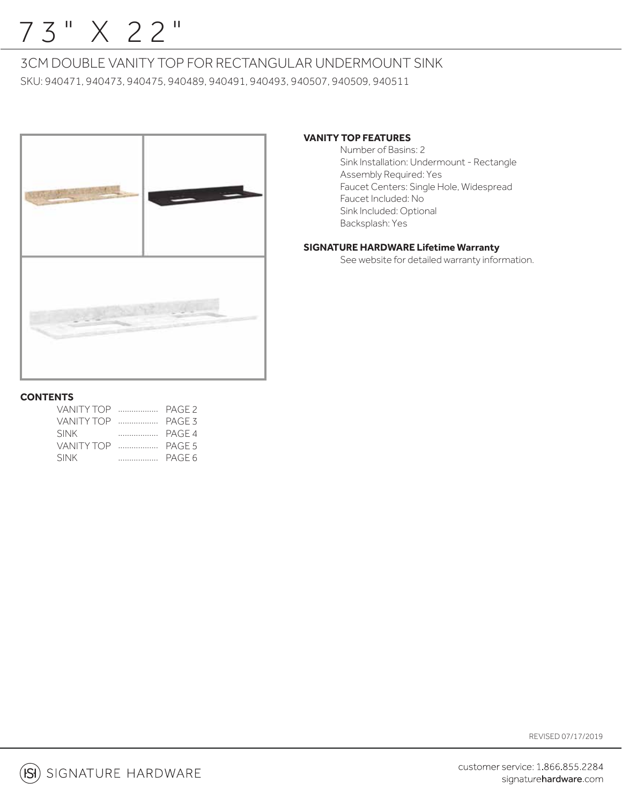## 73" X 22"

## 3CM DOUBLE VANITY TOP FOR RECTANGULAR UNDERMOUNT SINK

SKU: 940471, 940473, 940475, 940489, 940491, 940493, 940507, 940509, 940511



## **VANITY TOP FEATURES**

 Number of Basins: 2 Sink Installation: Undermount - Rectangle Assembly Required: Yes Faucet Centers: Single Hole, Widespread Faucet Included: No Sink Included: Optional Backsplash: Yes

## **SIGNATURE HARDWARE Lifetime Warranty**

See website for detailed warranty information.

## **CONTENTS**

| VANITY TOP  |   | PAGE <sub>2</sub> |
|-------------|---|-------------------|
| VANITY TOP  |   | PAGE 3            |
| <b>SINK</b> | . | PAGE 4            |
| VANITY TOP  |   | PAGE 5            |
| <b>SINK</b> |   |                   |

REVISED 07/17/2019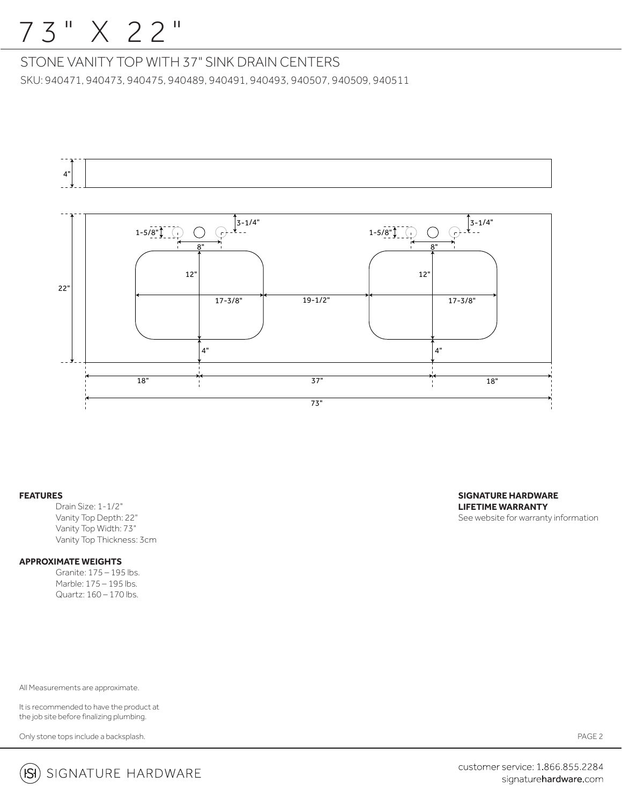## 7 3 " X 22"

STONE VANITY TOP WITH 37" SINK DRAIN CENTERS

SKU: 940471, 940473, 940475, 940489, 940491, 940493, 940507, 940509, 940511



### **FEATURES**

Drain Size: 1-1/2" Vanity Top Depth: 22" Vanity Top Width: 73" Vanity Top Thickness: 3cm

## **APPROXIMATE WEIGHTS**

 Granite: 175 – 195 lbs. Marble: 175 – 195 lbs. Quartz: 160 – 170 lbs.

All Measurements are approximate.

It is recommended to have the product at the job site before finalizing plumbing.

Only stone tops include a backsplash.





customer service: 1.866.855.2284 signaturehardware.com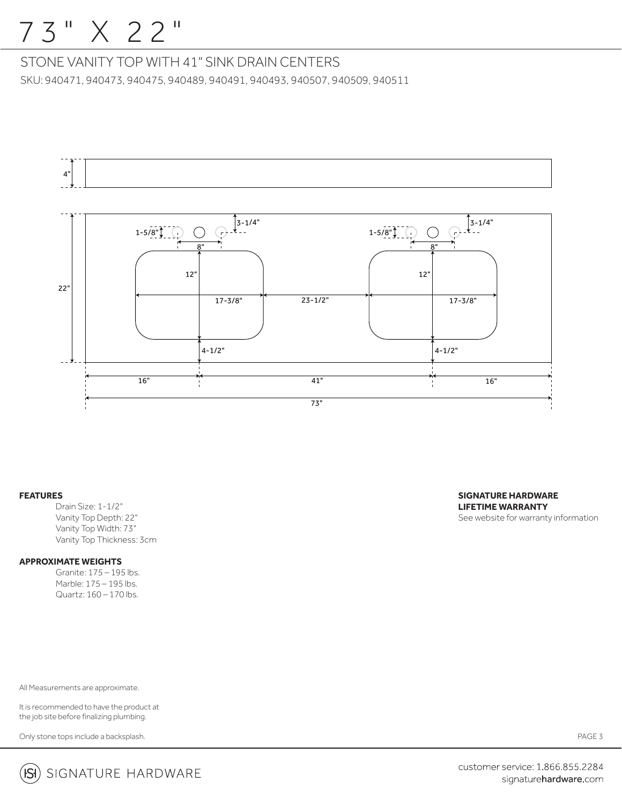## 7 3 " X 22"

STONE VANITY TOP WITH 41" SINK DRAIN CENTERS SKU: 940471, 940473, 940475, 940489, 940491, 940493, 940507, 940509, 940511



### **FEATURES**

Drain Size: 1-1/2" Vanity Top Depth: 22" Vanity Top Width: 73" Vanity Top Thickness: 3cm

## **APPROXIMATE WEIGHTS**

 Granite: 175 – 195 lbs. Marble: 175 – 195 lbs. Quartz: 160 – 170 lbs.

All Measurements are approximate.

It is recommended to have the product at the job site before finalizing plumbing.

Only stone tops include a backsplash.



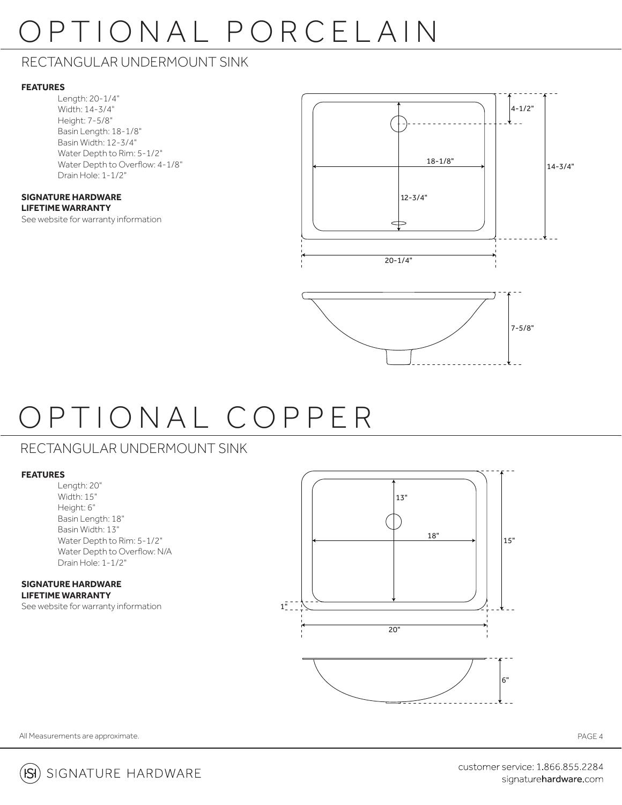# OPTIONAL PORCELAIN

## RECTANGULAR UNDERMOUNT SINK

## **FEATURES**

Length: 20-1/4" Width: 14-3/4" Height: 7-5/8" Basin Length: 18-1/8" Basin Width: 12-3/4" Water Depth to Rim: 5-1/2" Water Depth to Overflow: 4-1/8" Drain Hole: 1-1/2"

#### **SIGNATURE HARDWARE LIFETIME WARRANTY**

See website for warranty information





# OPTIONAL COPPER

## RECTANGULAR UNDERMOUNT SINK

## **FEATURES**

Length: 20" Width: 15" Height: 6" Basin Length: 18" Basin Width: 13" Water Depth to Rim: 5-1/2" Water Depth to Overflow: N/A Drain Hole: 1-1/2"

#### **SIGNATURE HARDWARE LIFETIME WARRANTY**

See website for warranty information



 $- - - - - -$ 



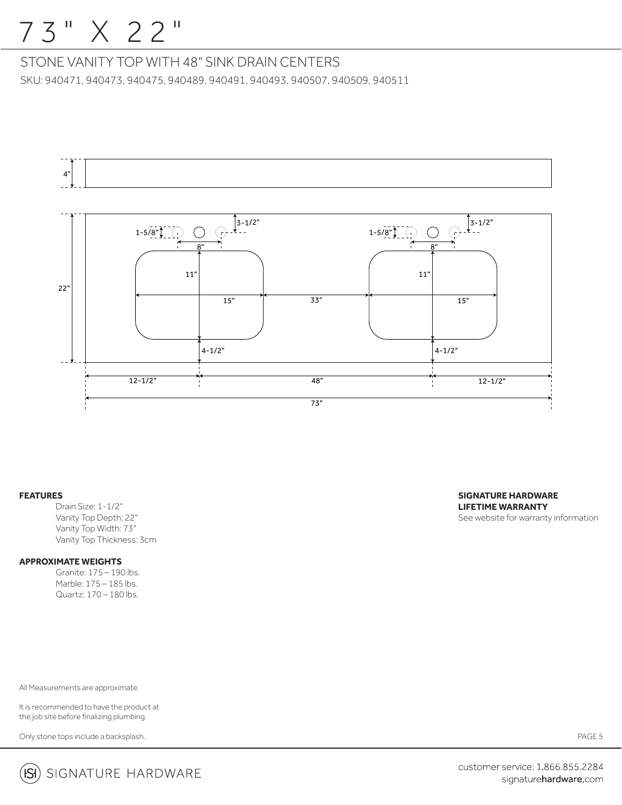## 7 3 " X 22"

STONE VANITY TOP WITH 48" SINK DRAIN CENTERS SKU: 940471, 940473, 940475, 940489, 940491, 940493, 940507, 940509, 940511



### **FEATURES**

Drain Size: 1-1/2" Vanity Top Depth: 22" Vanity Top Width: 73" Vanity Top Thickness: 3cm

## **APPROXIMATE WEIGHTS**

 Granite: 175 – 190 lbs. Marble: 175 – 185 lbs. Quartz: 170 – 180 lbs.

All Measurements are approximate.

It is recommended to have the product at the job site before finalizing plumbing.

Only stone tops include a backsplash.

**SIGNATURE HARDWARE LIFETIME WARRANTY** See website for warranty information